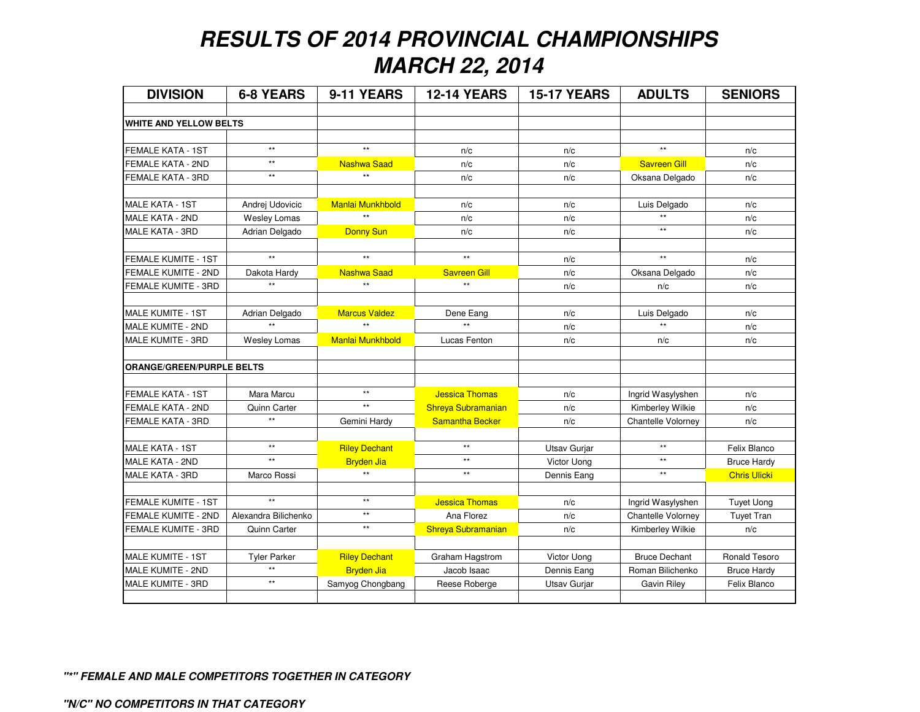## **RESULTS OF 2014 PROVINCIAL CHAMPIONSHIPSMARCH 22, 2014**

| <b>DIVISION</b>                  | <b>6-8 YEARS</b>     | 9-11 YEARS           | <b>12-14 YEARS</b>    | <b>15-17 YEARS</b> | <b>ADULTS</b>        | <b>SENIORS</b>      |
|----------------------------------|----------------------|----------------------|-----------------------|--------------------|----------------------|---------------------|
| <b>WHITE AND YELLOW BELTS</b>    |                      |                      |                       |                    |                      |                     |
|                                  |                      |                      |                       |                    |                      |                     |
| FEMALE KATA - 1ST                | $\star\star$         | $\star\star$         | n/c                   | n/c                | $\star\star$         | n/c                 |
| FEMALE KATA - 2ND                | $\star\star$         | <b>Nashwa Saad</b>   | n/c                   | n/c                | <b>Savreen Gill</b>  | n/c                 |
| FEMALE KATA - 3RD                | $\star\star$         | $\star\star$         | n/c                   | n/c                | Oksana Delgado       | n/c                 |
|                                  |                      |                      |                       |                    |                      |                     |
| <b>MALE KATA - 1ST</b>           | Andrej Udovicic      | Manlai Munkhbold     | n/c                   | n/c                | Luis Delgado         | n/c                 |
| <b>MALE KATA - 2ND</b>           | Wesley Lomas         | $\star\star$         | n/c                   | n/c                |                      | n/c                 |
| MALE KATA - 3RD                  | Adrian Delgado       | Donny Sun            | n/c                   | n/c                | $\star\star$         | n/c                 |
|                                  |                      |                      |                       |                    |                      |                     |
| <b>FEMALE KUMITE - 1ST</b>       | $\star\star$         | $\star\star$         | $\star\star$          | n/c                | $\star\star$         | n/c                 |
| FEMALE KUMITE - 2ND              | Dakota Hardy         | <b>Nashwa Saad</b>   | <b>Savreen Gill</b>   | n/c                | Oksana Delgado       | n/c                 |
| FEMALE KUMITE - 3RD              | $\star\star$         | $\star\star$         | **                    | n/c                | n/c                  | n/c                 |
|                                  |                      |                      |                       |                    |                      |                     |
| <b>MALE KUMITE - 1ST</b>         | Adrian Delgado       | <b>Marcus Valdez</b> | Dene Eang             | n/c                | Luis Delgado         | n/c                 |
| MALE KUMITE - 2ND                | $\star\star$         | $\star\star$         | **                    | n/c                |                      | n/c                 |
| MALE KUMITE - 3RD                | Wesley Lomas         | Manlai Munkhbold     | Lucas Fenton          | n/c                | n/c                  | n/c                 |
| <b>ORANGE/GREEN/PURPLE BELTS</b> |                      |                      |                       |                    |                      |                     |
|                                  |                      |                      |                       |                    |                      |                     |
| FEMALE KATA - 1ST                | Mara Marcu           | $\star\star$         | <b>Jessica Thomas</b> | n/c                | Ingrid Wasylyshen    | n/c                 |
| FEMALE KATA - 2ND                | Quinn Carter         | $\star\star$         | Shreya Subramanian    | n/c                | Kimberley Wilkie     | n/c                 |
| FEMALE KATA - 3RD                | $^{\star\star}$      | Gemini Hardy         | Samantha Becker       | n/c                | Chantelle Volorney   | n/c                 |
|                                  |                      |                      |                       |                    |                      |                     |
| MALE KATA - 1ST                  | $\star\star$         | <b>Riley Dechant</b> | $***$                 | Utsav Gurjar       | $\star\star$         | Felix Blanco        |
| MALE KATA - 2ND                  | $\ddot{\ast}$        | <b>Bryden Jia</b>    | $\star\star$          | Victor Uong        | $\star\star$         | <b>Bruce Hardy</b>  |
| MALE KATA - 3RD                  | Marco Rossi          | $\star\star$         | $***$                 | Dennis Eang        | $**$                 | <b>Chris Ulicki</b> |
|                                  | $\star\star$         | $\star\star$         |                       |                    |                      |                     |
| FEMALE KUMITE - 1ST              |                      | $^{\star\star}$      | <b>Jessica Thomas</b> | n/c                | Ingrid Wasylyshen    | <b>Tuyet Uong</b>   |
| FEMALE KUMITE - 2ND              | Alexandra Bilichenko | $\star\star$         | Ana Florez            | n/c                | Chantelle Volorney   | <b>Tuyet Tran</b>   |
| FEMALE KUMITE - 3RD              | Quinn Carter         |                      | Shreya Subramanian    | n/c                | Kimberley Wilkie     | n/c                 |
| <b>MALE KUMITE - 1ST</b>         | <b>Tyler Parker</b>  | <b>Riley Dechant</b> | Graham Hagstrom       | Victor Uong        | <b>Bruce Dechant</b> | Ronald Tesoro       |
| MALE KUMITE - 2ND                | $\star\star$         | <b>Bryden Jia</b>    | Jacob Isaac           | Dennis Eang        | Roman Bilichenko     | <b>Bruce Hardy</b>  |
| MALE KUMITE - 3RD                | $\star\star$         | Samyog Chongbang     | Reese Roberge         | Utsav Gurjar       | Gavin Riley          | Felix Blanco        |
|                                  |                      |                      |                       |                    |                      |                     |

**"\*" FEMALE AND MALE COMPETITORS TOGETHER IN CATEGORY**

**"N/C" NO COMPETITORS IN THAT CATEGORY**